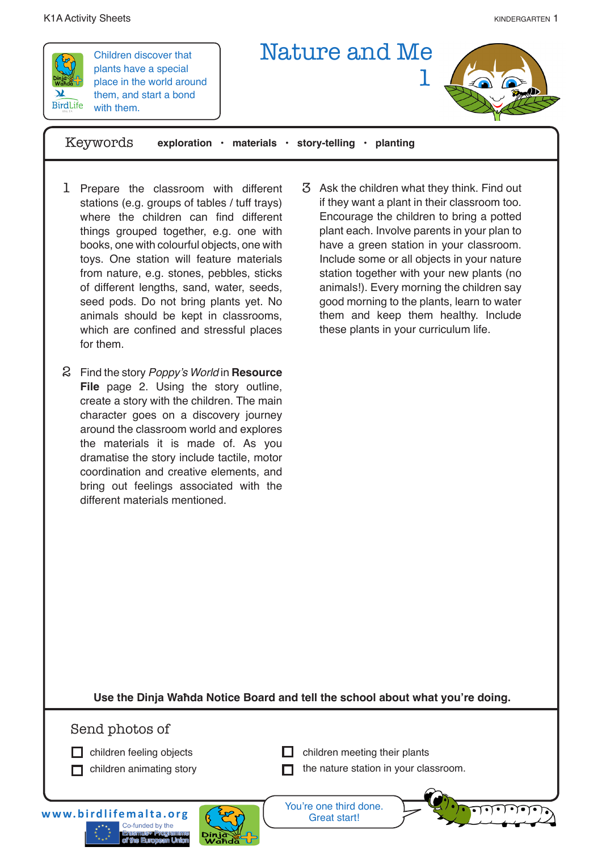

Children discover that plants have a special place in the world around them, and start a bond with them.



Keywords **exploration • materials • story-telling • planting**

- 1 Prepare the classroom with different stations (e.g. groups of tables / tuff trays) where the children can find different things grouped together, e.g. one with books, one with colourful objects, one with toys. One station will feature materials from nature, e.g. stones, pebbles, sticks of different lengths, sand, water, seeds, seed pods. Do not bring plants yet. No animals should be kept in classrooms, which are confined and stressful places for them.
- Find the story Poppy's World in **Resource**  2 **File** page 2. Using the story outline, create a story with the children. The main character goes on a discovery journey around the classroom world and explores the materials it is made of. As you dramatise the story include tactile, motor coordination and creative elements, and bring out feelings associated with the different materials mentioned.
- Ask the children what they think. Find out 3 if they want a plant in their classroom too. Encourage the children to bring a potted plant each. Involve parents in your plan to have a green station in your classroom. Include some or all objects in your nature station together with your new plants (no animals!). Every morning the children say good morning to the plants, learn to water them and keep them healthy. Include these plants in your curriculum life.

**Use the Dinja Waħda Notice Board and tell the school about what you're doing.** 

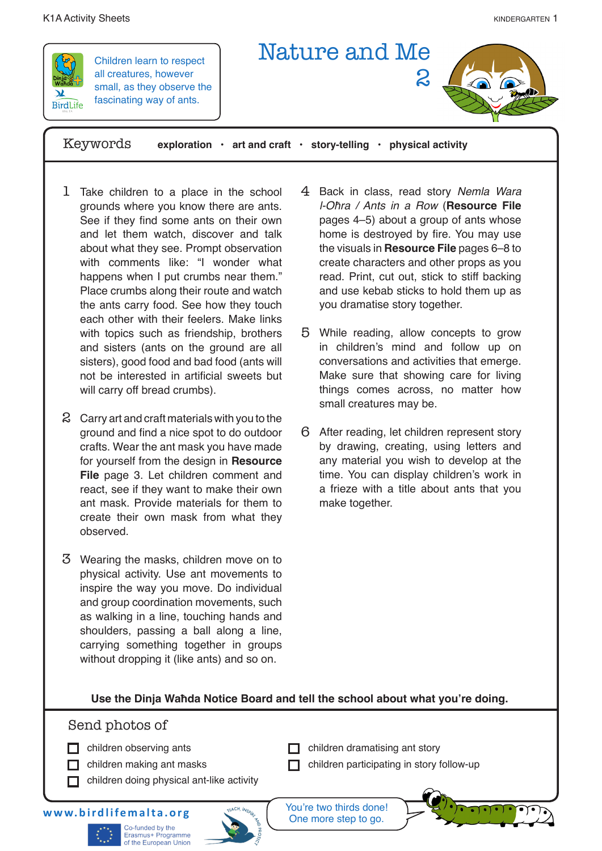## K1A Activity Sheets **Kanadia and Sheets** kindergarten 1 and the state of the state of the state of the state of the state of the state of the state of the state of the state of the state of the state of the state of the st



Children learn to respect all creatures, however small, as they observe the fascinating way of ants.



Keywords **exploration • art and craft • story-telling • physical activity**

- 1 Take children to a place in the school grounds where you know there are ants. See if they find some ants on their own and let them watch, discover and talk about what they see. Prompt observation with comments like: "I wonder what happens when I put crumbs near them." Place crumbs along their route and watch the ants carry food. See how they touch each other with their feelers. Make links with topics such as friendship, brothers and sisters (ants on the ground are all sisters), good food and bad food (ants will not be interested in artificial sweets but will carry off bread crumbs).
- $\Omega$  Carry art and craft materials with you to the ground and find a nice spot to do outdoor crafts. Wear the ant mask you have made for yourself from the design in **Resource File** page 3. Let children comment and react, see if they want to make their own ant mask. Provide materials for them to create their own mask from what they observed.
- Wearing the masks, children move on to 3 physical activity. Use ant movements to inspire the way you move. Do individual and group coordination movements, such as walking in a line, touching hands and shoulders, passing a ball along a line, carrying something together in groups without dropping it (like ants) and so on.
- 4 Back in class, read story Nemla Wara l-Oħra / Ants in a Row (**Resource File** pages 4–5) about a group of ants whose home is destroyed by fire. You may use the visuals in **Resource File** pages 6–8 to create characters and other props as you read. Print, cut out, stick to stiff backing and use kebab sticks to hold them up as you dramatise story together.
- While reading, allow concepts to grow 5 in children's mind and follow up on conversations and activities that emerge. Make sure that showing care for living things comes across, no matter how small creatures may be.
- After reading, let children represent story 6 by drawing, creating, using letters and any material you wish to develop at the time. You can display children's work in a frieze with a title about ants that you make together.

# **Use the Dinja Waħda Notice Board and tell the school about what you're doing.**

# Send photos of

- $\Box$  children observing ants
- $\Box$  children making ant masks
- $\Box$  children doing physical ant-like activity
- $\Box$  children dramatising ant story
- $\Box$  children participating in story follow-up

**www.birdlifemalta.org**





You're two thirds done! One more step to go.